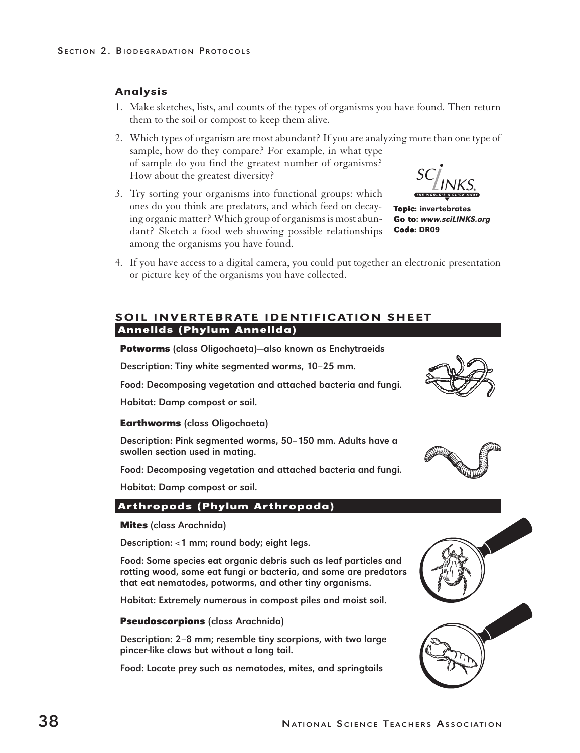# Analysis

- 1. Make sketches, lists, and counts of the types of organisms you have found. Then return them to the soil or compost to keep them alive.
- 2. Which types of organism are most abundant? If you are analyzing more than one type of sample, how do they compare? For example, in what type of sample do you find the greatest number of organisms? How about the greatest diversity?
- 3. Try sorting your organisms into functional groups: which ones do you think are predators, and which feed on decaying organic matter? Which group of organisms is most abundant? Sketch a food web showing possible relationships among the organisms you have found.
- 4. If you have access to a digital camera, you could put together an electronic presentation or picture key of the organisms you have collected.

### SOIL INVERTEBRATE IDENTIFICATION SHEET **Annelids (Phylum Annelida)**

**Potworms** (class Oligochaeta)—also known as Enchytraeids

Description: Tiny white segmented worms, 10–25 mm.

Food: Decomposing vegetation and attached bacteria and fungi.

Habitat: Damp compost or soil.

**Earthworms** (class Oligochaeta)

Description: Pink segmented worms, 50–150 mm. Adults have a swollen section used in mating.

Food: Decomposing vegetation and attached bacteria and fungi.

Habitat: Damp compost or soil.

### **Arthropods (Phylum Arthropoda)**

**Mites** (class Arachnida)

Description: <1 mm; round body; eight legs.

Food: Some species eat organic debris such as leaf particles and rotting wood, some eat fungi or bacteria, and some are predators that eat nematodes, potworms, and other tiny organisms.

Habitat: Extremely numerous in compost piles and moist soil.

### **Pseudoscorpions** (class Arachnida)

Description: 2–8 mm; resemble tiny scorpions, with two large pincer-like claws but without a long tail.

Food: Locate prey such as nematodes, mites, and springtails

Topic: invertebrates Go to:www.sciLINKS.org Code: DR09





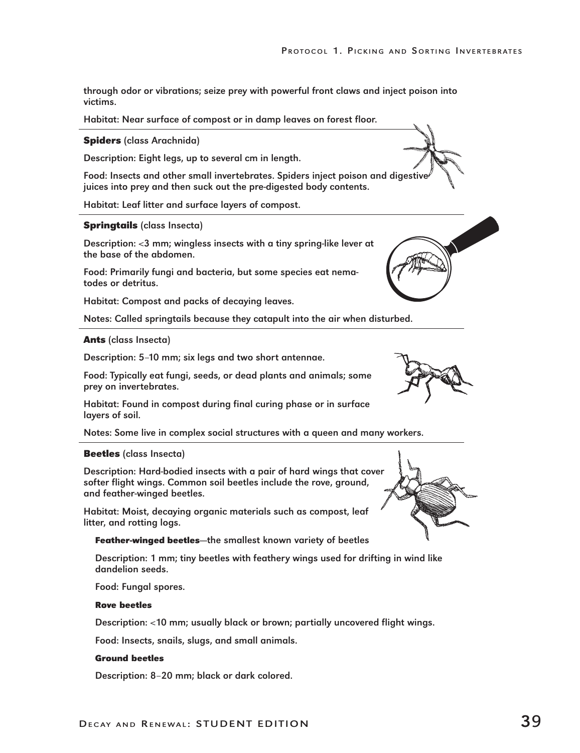through odor or vibrations; seize prey with powerful front claws and inject poison into victims.

Habitat: Near surface of compost or in damp leaves on forest floor.

#### **Spiders** (class Arachnida)

Description: Eight legs, up to several cm in length.

Food: Insects and other small invertebrates. Spiders inject poison and digestive juices into prey and then suck out the pre-digested body contents.

Habitat: Leaf litter and surface layers of compost.

#### **Springtails** (class Insecta)

Description: <3 mm; wingless insects with a tiny spring-like lever at the base of the abdomen.

Food: Primarily fungi and bacteria, but some species eat nematodes or detritus.

Habitat: Compost and packs of decaying leaves.

Notes: Called springtails because they catapult into the air when disturbed.

#### **Ants** (class Insecta)

Description: 5–10 mm; six legs and two short antennae.

Food: Typically eat fungi, seeds, or dead plants and animals; some prey on invertebrates.

Habitat: Found in compost during final curing phase or in surface layers of soil.

Notes: Some live in complex social structures with a queen and many workers.

#### **Beetles** (class Insecta)

Description: Hard-bodied insects with a pair of hard wings that cover softer flight wings. Common soil beetles include the rove, ground, and feather-winged beetles.

Habitat: Moist, decaying organic materials such as compost, leaf litter, and rotting logs.

#### **Feather-winged beetles—**the smallest known variety of beetles

Description: 1 mm; tiny beetles with feathery wings used for drifting in wind like dandelion seeds.

Food: Fungal spores.

#### **Rove beetles**

Description: <10 mm; usually black or brown; partially uncovered flight wings.

Food: Insects, snails, slugs, and small animals.

#### **Ground beetles**

Description: 8–20 mm; black or dark colored.



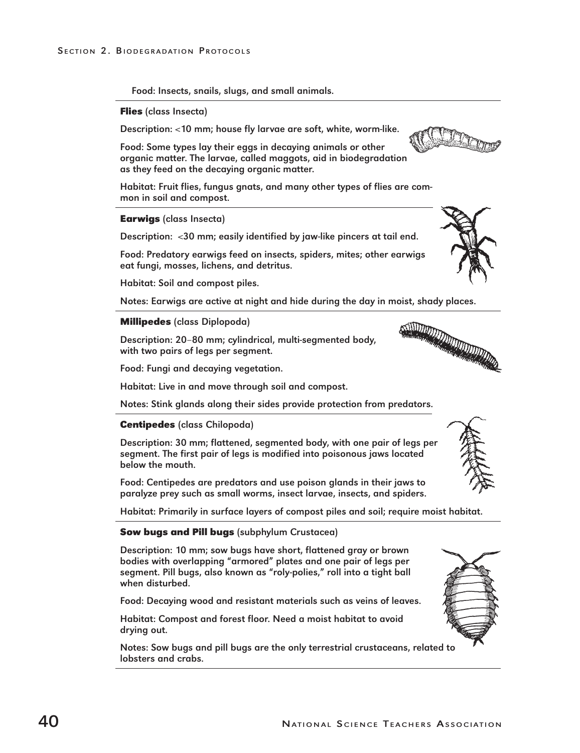Food: Insects, snails, slugs, and small animals.

**Flies** (class Insecta)

Description: <10 mm; house fly larvae are soft, white, worm-like.

Food: Some types lay their eggs in decaying animals or other organic matter. The larvae, called maggots, aid in biodegradation as they feed on the decaying organic matter.

Habitat: Fruit flies, fungus gnats, and many other types of flies are common in soil and compost.

### **Earwigs** (class Insecta)

Description: <30 mm; easily identified by jaw-like pincers at tail end.

Food: Predatory earwigs feed on insects, spiders, mites; other earwigs eat fungi, mosses, lichens, and detritus.

Habitat: Soil and compost piles.

Notes: Earwigs are active at night and hide during the day in moist, shady places.

## **Millipedes** (class Diplopoda)

Description: 20–80 mm; cylindrical, multi-segmented body, with two pairs of legs per segment.

Food: Fungi and decaying vegetation.

Habitat: Live in and move through soil and compost.

Notes: Stink glands along their sides provide protection from predators.

## **Centipedes** (class Chilopoda)

Description: 30 mm; flattened, segmented body, with one pair of legs per segment. The first pair of legs is modified into poisonous jaws located below the mouth.

Food: Centipedes are predators and use poison glands in their jaws to paralyze prey such as small worms, insect larvae, insects, and spiders.

Habitat: Primarily in surface layers of compost piles and soil; require moist habitat.

## **Sow bugs and Pill bugs** (subphylum Crustacea)

Description: 10 mm; sow bugs have short, flattened gray or brown bodies with overlapping "armored" plates and one pair of legs per segment. Pill bugs, also known as "roly-polies," roll into a tight ball when disturbed.

Food: Decaying wood and resistant materials such as veins of leaves.

Habitat: Compost and forest floor. Need a moist habitat to avoid drying out.

Notes: Sow bugs and pill bugs are the only terrestrial crustaceans, related to lobsters and crabs.